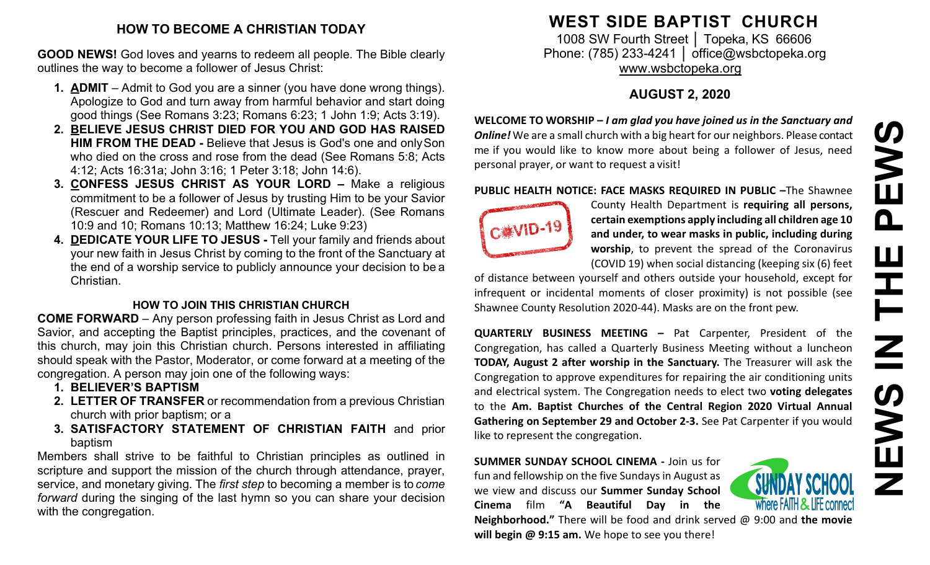### **HOW TO BECOME A CHRISTIAN TODAY**

**GOOD NEWS!** God loves and yearns to redeem all people. The Bible clearly outlines the way to become a follower of Jesus Christ:

- **1. ADMIT**  Admit to God you are a sinner (you have done wrong things). Apologize to God and turn away from harmful behavior and start doing good things (See Romans 3:23; Romans 6:23; 1 John 1:9; Acts 3:19).
- **2. BELIEVE JESUS CHRIST DIED FOR YOU AND GOD HAS RAISED HIM FROM THE DEAD -** Believe that Jesus is God's one and onlySon who died on the cross and rose from the dead (See Romans 5:8; Acts 4:12; Acts 16:31a; John 3:16; 1 Peter 3:18; John 14:6).
- **3. CONFESS JESUS CHRIST AS YOUR LORD –** Make a religious commitment to be a follower of Jesus by trusting Him to be your Savior (Rescuer and Redeemer) and Lord (Ultimate Leader). (See Romans 10:9 and 10; Romans 10:13; Matthew 16:24; Luke 9:23)
- **4. DEDICATE YOUR LIFE TO JESUS -** Tell your family and friends about your new faith in Jesus Christ by coming to the front of the Sanctuary at the end of a worship service to publicly announce your decision to be a Christian.

### **HOW TO JOIN THIS CHRISTIAN CHURCH**

**COME FORWARD** – Any person professing faith in Jesus Christ as Lord and Savior, and accepting the Baptist principles, practices, and the covenant of this church, may join this Christian church. Persons interested in affiliating should speak with the Pastor, Moderator, or come forward at a meeting of the congregation. A person may join one of the following ways:

- **1. BELIEVER'S BAPTISM**
- **2. LETTER OF TRANSFER** or recommendation from a previous Christian church with prior baptism; or a
- **3. SATISFACTORY STATEMENT OF CHRISTIAN FAITH** and prior baptism

Members shall strive to be faithful to Christian principles as outlined in scripture and support the mission of the church through attendance, prayer, service, and monetary giving. The *first step* to becoming a member is to *come forward* during the singing of the last hymn so you can share your decision with the congregation.

# **WEST SIDE BAPTIST CHURCH**

1008 SW Fourth Street | Topeka, KS 66606 Phone: (785) 233-4241 │ [office@wsbctopeka.org](mailto:office@wsbctopeka.org) [www.wsbctopeka.org](http://www.wsbctopeka.org/)

# **AUGUST 2, 2020**

**WELCOME TO WORSHIP –** *I am glad you have joined us in the Sanctuary and Online!* We are a small church with a big heart for our neighbors. Please contact me if you would like to know more about being a follower of Jesus, need personal prayer, or want to request a visit!

#### **PUBLIC HEALTH NOTICE: FACE MASKS REQUIRED IN PUBLIC –**The Shawnee



County Health Department is **requiring all persons, certain exemptions apply including all children age 10 and under, to wear masks in public, including during worship**, to prevent the spread of the Coronavirus (COVID 19) when social distancing (keeping six (6) feet

of distance between yourself and others outside your household, except for infrequent or incidental moments of closer proximity) is not possible (see Shawnee County Resolution 2020-44). Masks are on the front pew.

**QUARTERLY BUSINESS MEETING –** Pat Carpenter, President of the Congregation, has called a Quarterly Business Meeting without a luncheon **TODAY, August 2 after worship in the Sanctuary.** The Treasurer will ask the Congregation to approve expenditures for repairing the air conditioning units and electrical system. The Congregation needs to elect two **voting delegates**  to the **Am. Baptist Churches of the Central Region 2020 Virtual Annual Gathering on September 29 and October 2-3.** See Pat Carpenter if you would like to represent the congregation.

**SUMMER SUNDAY SCHOOL CINEMA -** Join us for fun and fellowship on the five Sundays in August as we view and discuss our **Summer Sunday School Cinema** film **"A Beautiful Day in the** 

**Neighborhood."** There will be food and drink served @ 9:00 and **the movie will begin @ 9:15 am.** We hope to see you there!

where FAIIH & LIFE connect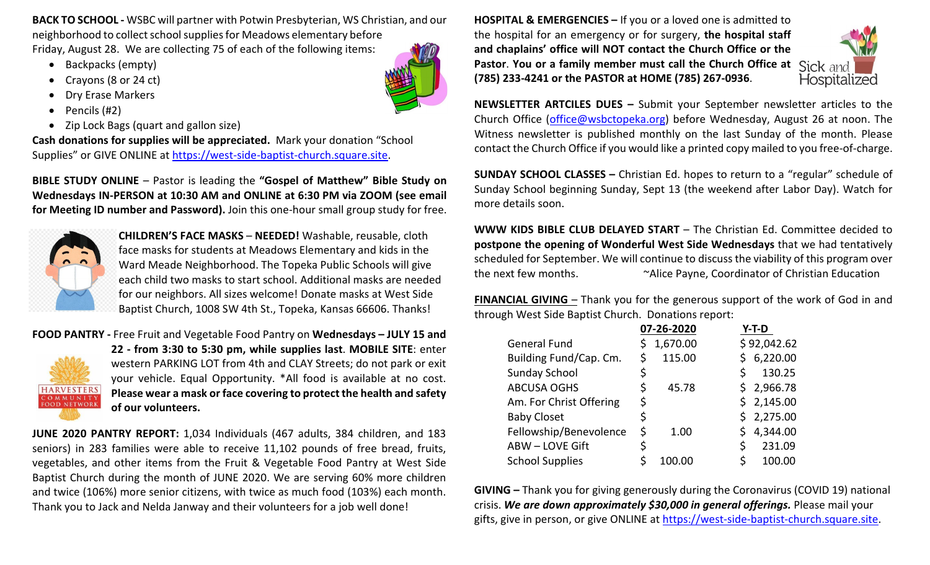**BACK TO SCHOOL -** WSBC will partner with Potwin Presbyterian, WS Christian, and our neighborhood to collect school supplies for Meadows elementary before Friday, August 28. We are collecting 75 of each of the following items:

- Backpacks (empty)
- Crayons (8 or 24 ct)
- Dry Erase Markers
- Pencils (#2)
- Zip Lock Bags (quart and gallon size)

**Cash donations for supplies will be appreciated.** Mark your donation "School Supplies" or GIVE ONLINE at [https://west-side-baptist-church.square.site.](https://west-side-baptist-church.square.site/)

**BIBLE STUDY ONLINE** – Pastor is leading the **"Gospel of Matthew" Bible Study on Wednesdays IN-PERSON at 10:30 AM and ONLINE at 6:30 PM via ZOOM (see email for Meeting ID number and Password).** Join this one-hour small group study for free.



**CHILDREN'S FACE MASKS** – **NEEDED!** [Washable, reusable, cloth](https://nextdoor.com/news_feed/?post=155629527&is=npe&mar=false&ct=BgkLRxK_kUfufApdcecdosUCxLcqgbPaQ_Gg-2IY2NlrRaq2bpMDOSDoY_GCy84Q&ec=iD9EVf8Fqz_GipY9l9G7ig==&token=TBZBxdG2WbEk0mYSwQGqzKGdoDCzxFuWDjeZ0kzGgT0BzasgBHhy6iRPISpftfNhWqt2RAAJX9uEhigwXTopVKqwnU3us_MCMfUPUWcq4VY%3D&auto_token=62LLcwTu_ghjIiTFPF5WALVGj_oNZnTxqmgoKXOWdIGckbo_MY8IqQM2Efpf34bBU9E0CBmIjp5ylAnO7J778wfKh9MNbBRsnQB4ZeWb5jY%3D) [face masks for students at Meadows Elementary and kids in the](https://nextdoor.com/news_feed/?post=155629527&is=npe&mar=false&ct=BgkLRxK_kUfufApdcecdosUCxLcqgbPaQ_Gg-2IY2NlrRaq2bpMDOSDoY_GCy84Q&ec=iD9EVf8Fqz_GipY9l9G7ig==&token=TBZBxdG2WbEk0mYSwQGqzKGdoDCzxFuWDjeZ0kzGgT0BzasgBHhy6iRPISpftfNhWqt2RAAJX9uEhigwXTopVKqwnU3us_MCMfUPUWcq4VY%3D&auto_token=62LLcwTu_ghjIiTFPF5WALVGj_oNZnTxqmgoKXOWdIGckbo_MY8IqQM2Efpf34bBU9E0CBmIjp5ylAnO7J778wfKh9MNbBRsnQB4ZeWb5jY%3D)  [Ward Meade Neighborhood. The Topeka Public Schools will give](https://nextdoor.com/news_feed/?post=155629527&is=npe&mar=false&ct=BgkLRxK_kUfufApdcecdosUCxLcqgbPaQ_Gg-2IY2NlrRaq2bpMDOSDoY_GCy84Q&ec=iD9EVf8Fqz_GipY9l9G7ig==&token=TBZBxdG2WbEk0mYSwQGqzKGdoDCzxFuWDjeZ0kzGgT0BzasgBHhy6iRPISpftfNhWqt2RAAJX9uEhigwXTopVKqwnU3us_MCMfUPUWcq4VY%3D&auto_token=62LLcwTu_ghjIiTFPF5WALVGj_oNZnTxqmgoKXOWdIGckbo_MY8IqQM2Efpf34bBU9E0CBmIjp5ylAnO7J778wfKh9MNbBRsnQB4ZeWb5jY%3D)  [each child two masks to start school. Additional masks are needed](https://nextdoor.com/news_feed/?post=155629527&is=npe&mar=false&ct=BgkLRxK_kUfufApdcecdosUCxLcqgbPaQ_Gg-2IY2NlrRaq2bpMDOSDoY_GCy84Q&ec=iD9EVf8Fqz_GipY9l9G7ig==&token=TBZBxdG2WbEk0mYSwQGqzKGdoDCzxFuWDjeZ0kzGgT0BzasgBHhy6iRPISpftfNhWqt2RAAJX9uEhigwXTopVKqwnU3us_MCMfUPUWcq4VY%3D&auto_token=62LLcwTu_ghjIiTFPF5WALVGj_oNZnTxqmgoKXOWdIGckbo_MY8IqQM2Efpf34bBU9E0CBmIjp5ylAnO7J778wfKh9MNbBRsnQB4ZeWb5jY%3D)  [for our neighbors. All sizes welcome! Donate masks at West Side](https://nextdoor.com/news_feed/?post=155629527&is=npe&mar=false&ct=BgkLRxK_kUfufApdcecdosUCxLcqgbPaQ_Gg-2IY2NlrRaq2bpMDOSDoY_GCy84Q&ec=iD9EVf8Fqz_GipY9l9G7ig==&token=TBZBxdG2WbEk0mYSwQGqzKGdoDCzxFuWDjeZ0kzGgT0BzasgBHhy6iRPISpftfNhWqt2RAAJX9uEhigwXTopVKqwnU3us_MCMfUPUWcq4VY%3D&auto_token=62LLcwTu_ghjIiTFPF5WALVGj_oNZnTxqmgoKXOWdIGckbo_MY8IqQM2Efpf34bBU9E0CBmIjp5ylAnO7J778wfKh9MNbBRsnQB4ZeWb5jY%3D)  Baptist Church, [1008 SW 4th St., Topeka, Kansas 66606. Thanks!](https://nextdoor.com/news_feed/?post=155629527&is=npe&mar=false&ct=BgkLRxK_kUfufApdcecdosUCxLcqgbPaQ_Gg-2IY2NlrRaq2bpMDOSDoY_GCy84Q&ec=iD9EVf8Fqz_GipY9l9G7ig==&token=TBZBxdG2WbEk0mYSwQGqzKGdoDCzxFuWDjeZ0kzGgT0BzasgBHhy6iRPISpftfNhWqt2RAAJX9uEhigwXTopVKqwnU3us_MCMfUPUWcq4VY%3D&auto_token=62LLcwTu_ghjIiTFPF5WALVGj_oNZnTxqmgoKXOWdIGckbo_MY8IqQM2Efpf34bBU9E0CBmIjp5ylAnO7J778wfKh9MNbBRsnQB4ZeWb5jY%3D)



**COMMUNITY**<br>FOOD NETWORK **of our volunteers. JUNE 2020 PANTRY REPORT:** 1,034 Individuals (467 adults, 384 children, and 183 seniors) in 283 families were able to receive 11,102 pounds of free bread, fruits, vegetables, and other items from the Fruit & Vegetable Food Pantry at West Side Baptist Church during the month of JUNE 2020. We are serving 60% more children and twice (106%) more senior citizens, with twice as much food (103%) each month. Thank you to Jack and Nelda Janway and their volunteers for a job well done!

**HOSPITAL & EMERGENCIES –** If you or a loved one is admitted to the hospital for an emergency or for surgery, **the hospital staff and chaplains' office will NOT contact the Church Office or the Pastor. You or a family member must call the Church Office at** Sick and **(785) 233-4241 or the PASTOR at HOME (785) 267-0936**.



**NEWSLETTER ARTCILES DUES –** Submit your September newsletter articles to the Church Office [\(office@wsbctopeka.org\)](mailto:office@wsbctopeka.org) before Wednesday, August 26 at noon. The Witness newsletter is published monthly on the last Sunday of the month. Please contact the Church Office if you would like a printed copy mailed to you free-of-charge.

**SUNDAY SCHOOL CLASSES –** Christian Ed. hopes to return to a "regular" schedule of Sunday School beginning Sunday, Sept 13 (the weekend after Labor Day). Watch for more details soon.

**WWW KIDS BIBLE CLUB DELAYED START** – The Christian Ed. Committee decided to **postpone the opening of Wonderful West Side Wednesdays** that we had tentatively scheduled for September. We will continue to discuss the viability of this program over the next few months.  $\sim$   $\sim$  Alice Payne, Coordinator of Christian Education

**FINANCIAL GIVING** – Thank you for the generous support of the work of God in and through West Side Baptist Church. Donations report:

|                         | 07-26-2020 |          | Y-T-D       |
|-------------------------|------------|----------|-------------|
| <b>General Fund</b>     |            | 1,670.00 | \$92,042.62 |
| Building Fund/Cap. Cm.  | Ś          | 115.00   | 6,220.00    |
| <b>Sunday School</b>    | \$         |          | 130.25      |
| <b>ABCUSA OGHS</b>      | \$         | 45.78    | \$2,966.78  |
| Am. For Christ Offering | \$         |          | \$2,145.00  |
| <b>Baby Closet</b>      | \$         |          | \$2,275.00  |
| Fellowship/Benevolence  | \$         | 1.00     | 4,344.00    |
| ABW - LOVE Gift         |            |          | 231.09      |
| <b>School Supplies</b>  |            | 100.00   | 100.00      |

**GIVING –** Thank you for giving generously during the Coronavirus (COVID 19) national crisis. *We are down approximately \$30,000 in general offerings.* Please mail your gifts, give in person, or give ONLINE at [https://west-side-baptist-church.square.site.](https://west-side-baptist-church.square.site/)